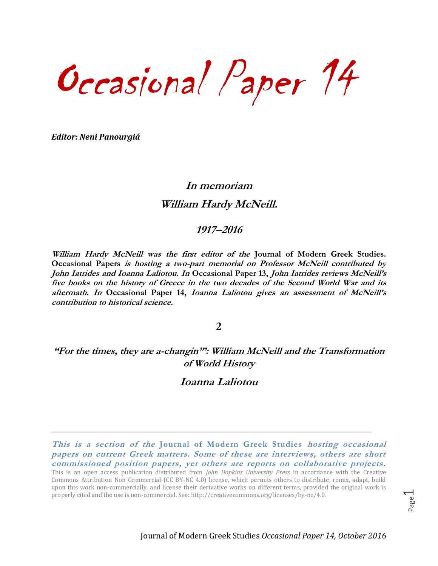Occasional Paper 14

*Editor: Neni Panourgiá*

# **In memoriam William Hardy McNeill.**

#### **1917–2016**

**William Hardy McNeill was the first editor of the Journal of Modern Greek Studies. Occasional Papers is hosting a two-part memorial on Professor McNeill contributed by John Iatrides and Ioanna Laliotou. In Occasional Paper 13, John Iatrides reviews McNeill's five books on the history of Greece in the two decades of the Second World War and its aftermath. In Occasional Paper 14, Ioanna Laliotou gives an assessment of McNeill's contribution to historical science.**

**2**

## **"For the times, they are a-changin'": William McNeill and the Transformation of World History**

## **Ioanna Laliotou**

**\_\_\_\_\_\_\_\_\_\_\_\_\_\_\_\_\_\_\_\_\_\_\_\_\_\_\_\_\_\_\_\_\_\_\_\_\_\_\_\_\_\_\_\_\_\_\_\_\_\_\_\_\_\_\_\_\_\_\_\_\_\_\_\_**

Page  $\overline{\phantom{0}}$ 

**This is a section of the Journal of Modern Greek Studies hosting occasional papers on current Greek matters. Some of these are interviews, others are short commissioned position papers, yet others are reports on collaborative projects.** 

This is an open access publication distributed from *John Hopkins University Press* in accordance with the Creative Commons Attribution Non Commercial (CC BY-NC 4.0) license, which permits others to distribute, remix, adapt, build upon this work non-commercially, and license their derivative works on different terms, provided the original work is properly cited and the use is non-commercial. See: [http://creativecommons.org/licenses/by-nc/4.0.](http://creativecommons.org/licenses/by-nc/4.0)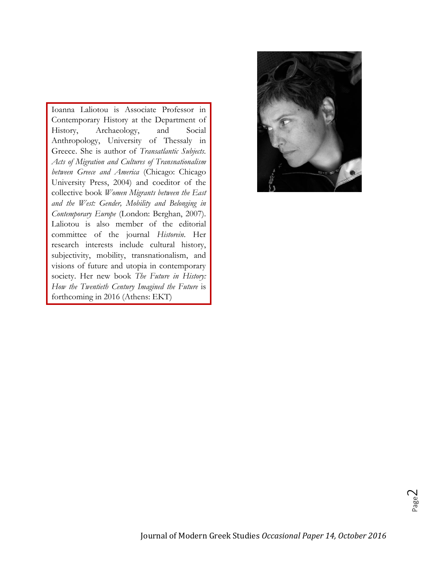Ioanna Laliotou is Associate Professor in Contemporary History at the Department of History, Archaeology, and Social Anthropology, University of Thessaly in Greece. She is author of *Transatlantic Subjects. Acts of Migration and Cultures of Transnationalism between Greece and America* (Chicago: Chicago University Press, 2004) and coeditor of the collective book *Women Migrants between the East and the West: Gender, Mobility and Belonging in Contemporary Europe* (London: Berghan, 2007). Laliotou is also member of the editorial committee of the journal *Historein*. Her research interests include cultural history, subjectivity, mobility, transnationalism, and visions of future and utopia in contemporary society. Her new book *The Future in History: How the Twentieth Century Imagined the Future* is forthcoming in 2016 (Αthens: EKT)

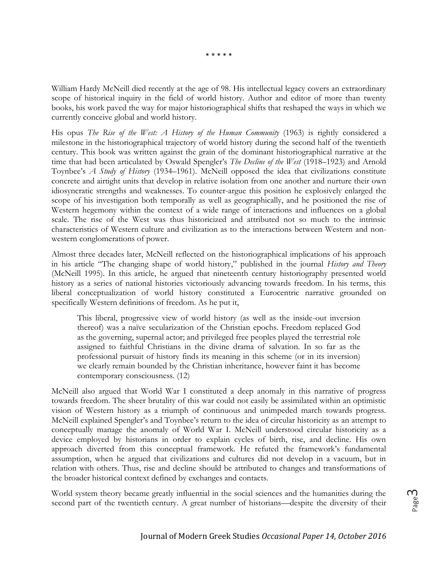\* \* \* \* \*

William Hardy McNeill died recently at the age of 98. His intellectual legacy covers an extraordinary scope of historical inquiry in the field of world history. Author and editor of more than twenty books, his work paved the way for major historiographical shifts that reshaped the ways in which we currently conceive global and world history.

His opus *The Rise of the West: A History of the Human Community* (1963) is rightly considered a milestone in the historiographical trajectory of world history during the second half of the twentieth century. This book was written against the grain of the dominant historiographical narrative at the time that had been articulated by Oswald Spengler's *The Decline of the West* (1918–1923) and Arnold Toynbee's *A Study of History* (1934–1961). McNeill opposed the idea that civilizations constitute concrete and airtight units that develop in relative isolation from one another and nurture their own idiosyncratic strengths and weaknesses. To counter-argue this position he explosively enlarged the scope of his investigation both temporally as well as geographically, and he positioned the rise of Western hegemony within the context of a wide range of interactions and influences on a global scale. The rise of the West was thus historicized and attributed not so much to the intrinsic characteristics of Western culture and civilization as to the interactions between Western and nonwestern conglomerations of power.

Almost three decades later, McNeill reflected on the historiographical implications of his approach in his article "The changing shape of world history," published in the journal *History and Theory* (McNeill 1995). In this article, he argued that nineteenth century historiography presented world history as a series of national histories victoriously advancing towards freedom. In his terms, this liberal conceptualization of world history constituted a Eurocentric narrative grounded on specifically Western definitions of freedom. As he put it,

This liberal, progressive view of world history (as well as the inside-out inversion thereof) was a naïve secularization of the Christian epochs. Freedom replaced God as the governing, supernal actor; and privileged free peoples played the terrestrial role assigned to faithful Christians in the divine drama of salvation. In so far as the professional pursuit of history finds its meaning in this scheme (or in its inversion) we clearly remain bounded by the Christian inheritance, however faint it has become contemporary consciousness. (12)

McNeill also argued that World War I constituted a deep anomaly in this narrative of progress towards freedom. The sheer brutality of this war could not easily be assimilated within an optimistic vision of Western history as a triumph of continuous and unimpeded march towards progress. McNeill explained Spengler's and Toynbee's return to the idea of circular historicity as an attempt to conceptually manage the anomaly of World War I. McNeill understood circular historicity as a device employed by historians in order to explain cycles of birth, rise, and decline. His own approach diverted from this conceptual framework. He refuted the framework's fundamental assumption, when he argued that civilizations and cultures did not develop in a vacuum, but in relation with others. Thus, rise and decline should be attributed to changes and transformations of the broader historical context defined by exchanges and contacts.

World system theory became greatly influential in the social sciences and the humanities during the second part of the twentieth century. A great number of historians—despite the diversity of their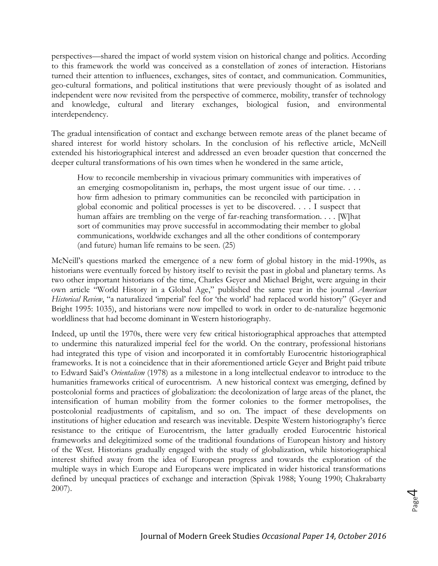perspectives—shared the impact of world system vision on historical change and politics. According to this framework the world was conceived as a constellation of zones of interaction. Historians turned their attention to influences, exchanges, sites of contact, and communication. Communities, geo-cultural formations, and political institutions that were previously thought of as isolated and independent were now revisited from the perspective of commerce, mobility, transfer of technology and knowledge, cultural and literary exchanges, biological fusion, and environmental interdependency.

The gradual intensification of contact and exchange between remote areas of the planet became of shared interest for world history scholars. In the conclusion of his reflective article, McNeill extended his historiographical interest and addressed an even broader question that concerned the deeper cultural transformations of his own times when he wondered in the same article,

How to reconcile membership in vivacious primary communities with imperatives of an emerging cosmopolitanism in, perhaps, the most urgent issue of our time. . . . how firm adhesion to primary communities can be reconciled with participation in global economic and political processes is yet to be discovered. . . . I suspect that human affairs are trembling on the verge of far-reaching transformation. . . . [W]hat sort of communities may prove successful in accommodating their member to global communications, worldwide exchanges and all the other conditions of contemporary (and future) human life remains to be seen. (25)

McNeill's questions marked the emergence of a new form of global history in the mid-1990s, as historians were eventually forced by history itself to revisit the past in global and planetary terms. As two other important historians of the time, Charles Geyer and Michael Bright, were arguing in their own article "World History in a Global Age," published the same year in the journal *American Historical Review*, "a naturalized 'imperial' feel for 'the world' had replaced world history" (Geyer and Bright 1995: 1035), and historians were now impelled to work in order to de-naturalize hegemonic worldliness that had become dominant in Western historiography.

Indeed, up until the 1970s, there were very few critical historiographical approaches that attempted to undermine this naturalized imperial feel for the world. On the contrary, professional historians had integrated this type of vision and incorporated it in comfortably Eurocentric historiographical frameworks. It is not a coincidence that in their aforementioned article Geyer and Bright paid tribute to Edward Said's *Orientalism* (1978) as a milestone in a long intellectual endeavor to introduce to the humanities frameworks critical of eurocentrism. A new historical context was emerging, defined by postcolonial forms and practices of globalization: the decolonization of large areas of the planet, the intensification of human mobility from the former colonies to the former metropolises, the postcolonial readjustments of capitalism, and so on. The impact of these developments on institutions of higher education and research was inevitable. Despite Western historiography's fierce resistance to the critique of Eurocentrism, the latter gradually eroded Eurocentric historical frameworks and delegitimized some of the traditional foundations of European history and history of the West. Historians gradually engaged with the study of globalization, while historiographical interest shifted away from the idea of European progress and towards the exploration of the multiple ways in which Europe and Europeans were implicated in wider historical transformations defined by unequal practices of exchange and interaction (Spivak 1988; Young 1990; Chakrabarty 2007).